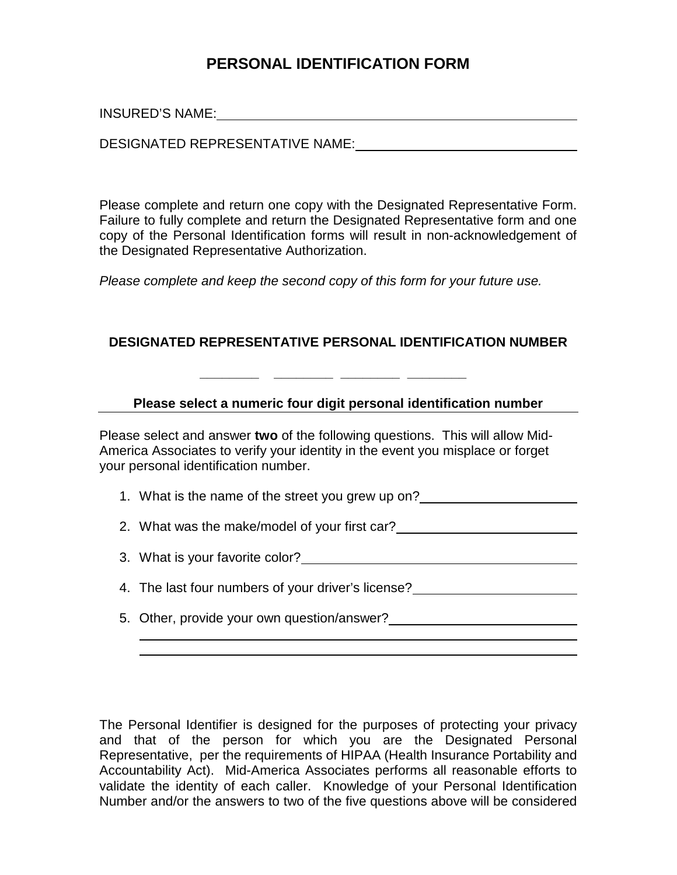## **PERSONAL IDENTIFICATION FORM**

INSURED'S NAME:

 $\overline{a}$ 

DESIGNATED REPRESENTATIVE NAME:

Please complete and return one copy with the Designated Representative Form. Failure to fully complete and return the Designated Representative form and one copy of the Personal Identification forms will result in non-acknowledgement of the Designated Representative Authorization.

*Please complete and keep the second copy of this form for your future use.* 

## **DESIGNATED REPRESENTATIVE PERSONAL IDENTIFICATION NUMBER**

 **\_\_\_\_\_\_\_\_ \_\_\_\_\_\_\_\_ \_\_\_\_\_\_\_\_ \_\_\_\_\_\_\_\_** 

## **Please select a numeric four digit personal identification number**

Please select and answer **two** of the following questions. This will allow Mid-America Associates to verify your identity in the event you misplace or forget your personal identification number.

1. What is the name of the street you grew up on?

2. What was the make/model of your first car?

3. What is your favorite color?

4. The last four numbers of your driver's license?

5. Other, provide your own question/answer?

The Personal Identifier is designed for the purposes of protecting your privacy and that of the person for which you are the Designated Personal Representative, per the requirements of HIPAA (Health Insurance Portability and Accountability Act). Mid-America Associates performs all reasonable efforts to validate the identity of each caller. Knowledge of your Personal Identification Number and/or the answers to two of the five questions above will be considered